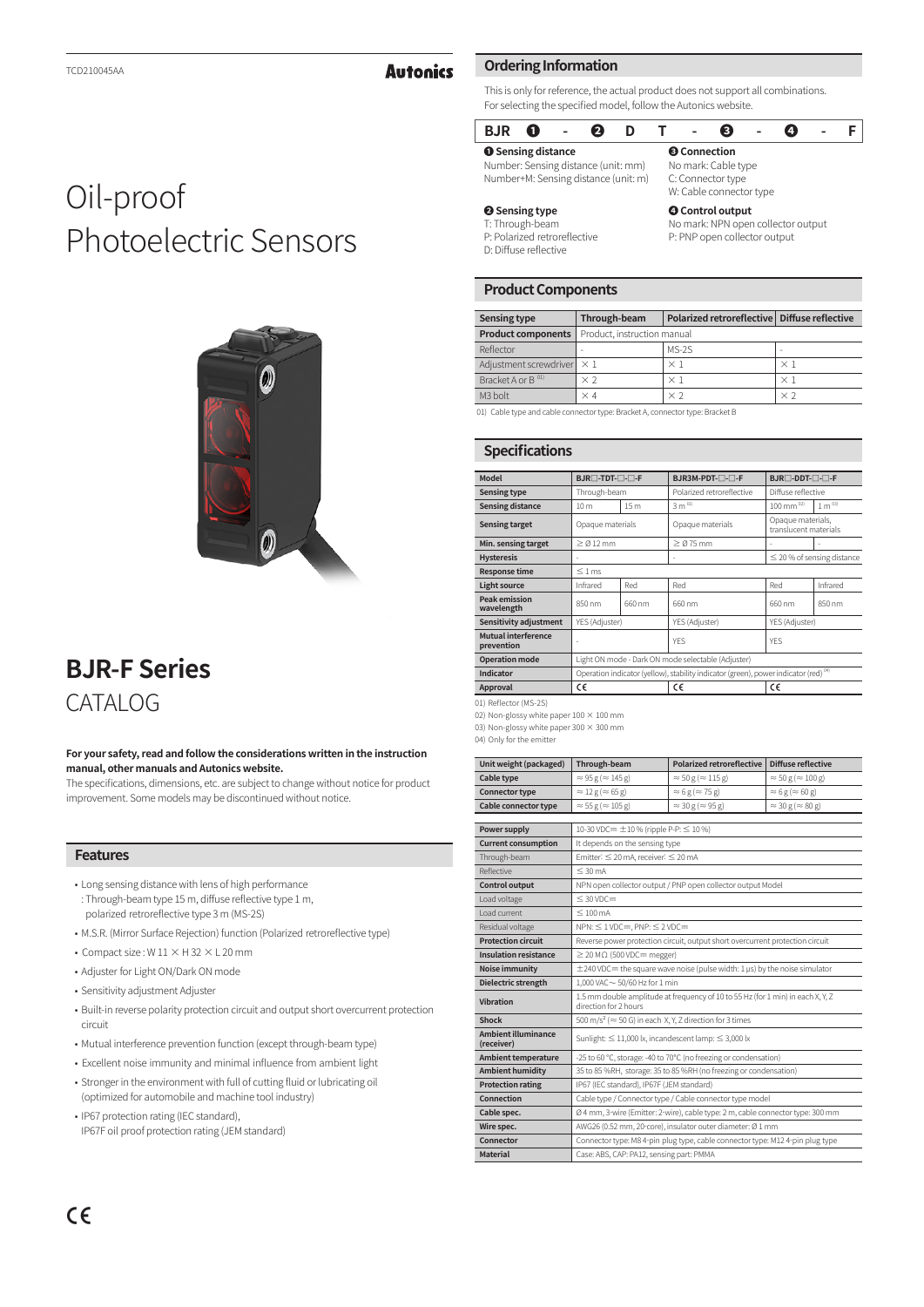### **Autonics**

### This is only for reference, the actual product does not support all combinations. For selecting the specified model, follow the Autonics website.

### **BJR ❶ - ❷ D T - ❸ - ❹ - F**

**Ordering Information**

**❶ Sensing distance** Number: Sensing distance (unit: mm) Number+M: Sensing distance (unit: m)

### **❷ Sensing type**

W: Cable connector type **❹ Control output**

**❸ Connection** No mark: Cable type C: Connector type

No mark: NPN open collector output P: PNP open collector output

I: I hrough-beam P: Polarized retroreflective D: Diffuse reflective

### **Product Components**

| <b>Sensing type</b>                                                           | Polarized retroreflective   Diffuse reflective<br>Through-beam |            |            |  |
|-------------------------------------------------------------------------------|----------------------------------------------------------------|------------|------------|--|
| <b>Product components</b>                                                     | Product, instruction manual                                    |            |            |  |
| Reflector                                                                     |                                                                | $MS-2S$    |            |  |
| Adjustment screwdriver                                                        | $\times$ 1                                                     | $\times$ 1 | $\times$ 1 |  |
| Bracket A or B <sup>01)</sup>                                                 | $\times$ 2                                                     | $\times$ 1 | $\times$ 1 |  |
| M <sub>3</sub> bolt                                                           | $\times$ 4                                                     | $\times 2$ | $\times 2$ |  |
| 01) Cable type and cable connector type: Bracket A, connector type: Bracket B |                                                                |            |            |  |

01) Cable type and cable connector type: Bracket A, connector type: Bracket B

### **Specifications**

| Model                              | BJR <sub>[1</sub> -TDT- <sub>11</sub> -1]-F                                                     |                 | BJR3M-PDT-□-□-F           | BJR□-DDT-□-□-F                             |            |
|------------------------------------|-------------------------------------------------------------------------------------------------|-----------------|---------------------------|--------------------------------------------|------------|
| <b>Sensing type</b>                | Through-beam                                                                                    |                 | Polarized retroreflective | Diffuse reflective                         |            |
| <b>Sensing distance</b>            | 10 <sub>m</sub>                                                                                 | 15 <sub>m</sub> | $3 m^{01}$                | $100 \text{ mm}^{02}$                      | $1 m^{03}$ |
| <b>Sensing target</b>              | Opaque materials                                                                                |                 | Opaque materials          | Opaque materials,<br>translucent materials |            |
| Min. sensing target                | $\geq$ $\alpha$ 12 mm                                                                           |                 | $\geq$ Ø 75 mm            | ٠                                          |            |
| <b>Hysteresis</b>                  |                                                                                                 |                 |                           | $\leq$ 20 % of sensing distance            |            |
| <b>Response time</b>               | $\leq 1$ ms                                                                                     |                 |                           |                                            |            |
| <b>Light source</b>                | Infrared                                                                                        | Red             | Red                       | Red                                        | Infrared   |
| <b>Peak emission</b><br>wavelength | 850 nm                                                                                          | 660 nm          | 660 nm                    | 660 nm                                     | 850 nm     |
| Sensitivity adjustment             | YES (Adjuster)                                                                                  |                 | YES (Adjuster)            | YES (Adjuster)                             |            |
| Mutual interference<br>prevention  |                                                                                                 |                 | YES                       | <b>YFS</b>                                 |            |
| <b>Operation mode</b>              | Light ON mode - Dark ON mode selectable (Adjuster)                                              |                 |                           |                                            |            |
| Indicator                          | Operation indicator (yellow), stability indicator (green), power indicator (red) <sup>04)</sup> |                 |                           |                                            |            |
| Approval                           | C€                                                                                              |                 | C€                        | c٤                                         |            |
|                                    |                                                                                                 |                 |                           |                                            |            |

01) Reflector (MS-2S)

02) Non-glossy white paper  $100 \times 100$  mm

03) Non-glossy white paper 300  $\times$  300 mm  $04$ ) Only for the emitte

| אווויס שום ושו עוויש קד |  |  |
|-------------------------|--|--|
|                         |  |  |
|                         |  |  |

| Unit weight (packaged)                   | Through-beam                                                                                             | <b>Polarized retroreflective</b>  | Diffuse reflective                |
|------------------------------------------|----------------------------------------------------------------------------------------------------------|-----------------------------------|-----------------------------------|
| Cable type                               | $\approx$ 95 g ( $\approx$ 145 g)                                                                        | $\approx$ 50 g ( $\approx$ 115 g) | $\approx$ 50 g ( $\approx$ 100 g) |
| <b>Connector type</b>                    | $\approx 12$ g ( $\approx 65$ g)                                                                         | $\approx 6$ g ( $\approx 75$ g)   | $\approx 6$ g ( $\approx 60$ g)   |
| Cable connector type                     | $\approx$ 55 g ( $\approx$ 105 g)                                                                        | $\approx$ 30 g ( $\approx$ 95 g)  | $\approx$ 30 g ( $\approx$ 80 g)  |
|                                          |                                                                                                          |                                   |                                   |
| Power supply                             | 10-30 VDC= $\pm$ 10 % (ripple P-P: $\leq$ 10 %)                                                          |                                   |                                   |
| <b>Current consumption</b>               | It depends on the sensing type                                                                           |                                   |                                   |
| Through-beam                             | Emitter: ≤ 20 mA, receiver: ≤ 20 mA                                                                      |                                   |                                   |
| Reflective                               | $\leq 30 \text{ mA}$                                                                                     |                                   |                                   |
| <b>Control output</b>                    | NPN open collector output / PNP open collector output Model                                              |                                   |                                   |
| Load voltage                             | $\leq 30$ VDC=                                                                                           |                                   |                                   |
| Load current                             | $\leq 100$ mA                                                                                            |                                   |                                   |
| Residual voltage                         | $NPN: \leq 1 VDC =$ , $PNP: \leq 2 VDC =$                                                                |                                   |                                   |
| <b>Protection circuit</b>                | Reverse power protection circuit, output short overcurrent protection circuit                            |                                   |                                   |
| <b>Insulation resistance</b>             | $\geq$ 20 M $\Omega$ (500 VDC= megger)                                                                   |                                   |                                   |
| <b>Noise immunity</b>                    | $\pm$ 240 VDC= the square wave noise (pulse width: 1 us) by the noise simulator                          |                                   |                                   |
| Dielectric strength                      | $1,000$ VAC $\sim$ 50/60 Hz for 1 min                                                                    |                                   |                                   |
| Vibration                                | 1.5 mm double amplitude at frequency of 10 to 55 Hz (for 1 min) in each X, Y, Z<br>direction for 2 hours |                                   |                                   |
| Shock                                    | 500 m/s <sup>2</sup> ( $\approx$ 50 G) in each X, Y, Z direction for 3 times                             |                                   |                                   |
| <b>Ambient illuminance</b><br>(receiver) | Sunlight: $\leq$ 11,000 lx, incandescent lamp: $\leq$ 3,000 lx                                           |                                   |                                   |
| <b>Ambient temperature</b>               | -25 to 60 °C, storage: -40 to 70°C (no freezing or condensation)                                         |                                   |                                   |
| <b>Ambient humidity</b>                  | 35 to 85 %RH, storage: 35 to 85 %RH (no freezing or condensation)                                        |                                   |                                   |
| <b>Protection rating</b>                 | IP67 (IEC standard), IP67F (JEM standard)                                                                |                                   |                                   |
| Connection                               | Cable type / Connector type / Cable connector type model                                                 |                                   |                                   |
| Cable spec.                              | Ø 4 mm, 3-wire (Emitter: 2-wire), cable type: 2 m, cable connector type: 300 mm                          |                                   |                                   |
| Wire spec.                               | AWG26 (0.52 mm, 20-core), insulator outer diameter: Ø 1 mm                                               |                                   |                                   |
| Connector                                | Connector type: M8 4-pin plug type, cable connector type: M12 4-pin plug type                            |                                   |                                   |

**Material** Case: ABS, CAP: PA12, sensing part: PMMA

# Oil-proof Photoelectric Sensors



## **BJR-F Series** CATALOG

#### **For your safety, read and follow the considerations written in the instruction manual, other manuals and Autonics website.**

The specifications, dimensions, etc. are subject to change without notice for product improvement. Some models may be discontinued without notice.

### **Features**

- Long sensing distance with lens of high performance : Through-beam type 15 m, diffuse reflective type 1 m, polarized retroreflective type 3 m (MS-2S)
- M.S.R. (Mirror Surface Rejection) function (Polarized retroreflective type)
- Compact size : W  $11 \times$  H 32  $\times$  L 20 mm
- Adjuster for Light ON/Dark ON mode
- Sensitivity adjustment Adjuster
- Built-in reverse polarity protection circuit and output short overcurrent protection circuit
- Mutual interference prevention function (except through-beam type)
- Excellent noise immunity and minimal influence from ambient light
- Stronger in the environment with full of cutting fluid or lubricating oil (optimized for automobile and machine tool industry)
- IP67 protection rating (IEC standard), IP67F oil proof protection rating (JEM standard)